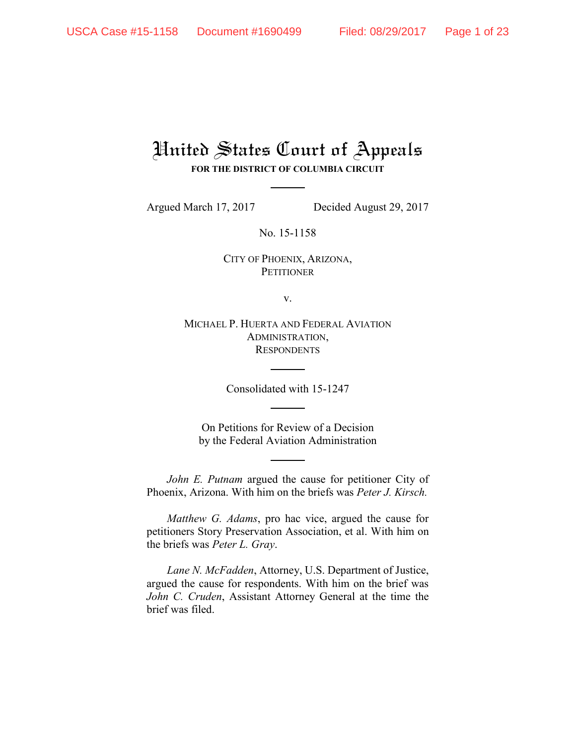# United States Court of Appeals **FOR THE DISTRICT OF COLUMBIA CIRCUIT**

Argued March 17, 2017 Decided August 29, 2017

No. 15-1158

CITY OF PHOENIX, ARIZONA, **PETITIONER** 

v.

MICHAEL P. HUERTA AND FEDERAL AVIATION ADMINISTRATION, **RESPONDENTS** 

Consolidated with 15-1247

On Petitions for Review of a Decision by the Federal Aviation Administration

*John E. Putnam* argued the cause for petitioner City of Phoenix, Arizona. With him on the briefs was *Peter J. Kirsch.*

*Matthew G. Adams*, pro hac vice, argued the cause for petitioners Story Preservation Association, et al. With him on the briefs was *Peter L. Gray*.

*Lane N. McFadden*, Attorney, U.S. Department of Justice, argued the cause for respondents. With him on the brief was *John C. Cruden*, Assistant Attorney General at the time the brief was filed.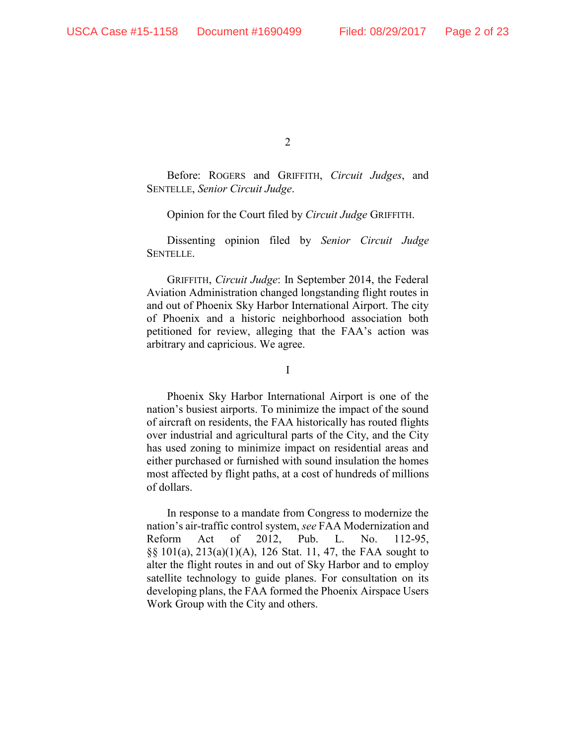Before: ROGERS and GRIFFITH, *Circuit Judges*, and SENTELLE, *Senior Circuit Judge*.

Opinion for the Court filed by *Circuit Judge* GRIFFITH.

Dissenting opinion filed by *Senior Circuit Judge* SENTELLE.

GRIFFITH, *Circuit Judge*: In September 2014, the Federal Aviation Administration changed longstanding flight routes in and out of Phoenix Sky Harbor International Airport. The city of Phoenix and a historic neighborhood association both petitioned for review, alleging that the FAA's action was arbitrary and capricious. We agree.

I

Phoenix Sky Harbor International Airport is one of the nation's busiest airports. To minimize the impact of the sound of aircraft on residents, the FAA historically has routed flights over industrial and agricultural parts of the City, and the City has used zoning to minimize impact on residential areas and either purchased or furnished with sound insulation the homes most affected by flight paths, at a cost of hundreds of millions of dollars.

In response to a mandate from Congress to modernize the nation's air-traffic control system, *see* FAA Modernization and Reform Act of 2012, Pub. L. No. 112-95, §§ 101(a), 213(a)(1)(A), 126 Stat. 11, 47, the FAA sought to alter the flight routes in and out of Sky Harbor and to employ satellite technology to guide planes. For consultation on its developing plans, the FAA formed the Phoenix Airspace Users Work Group with the City and others.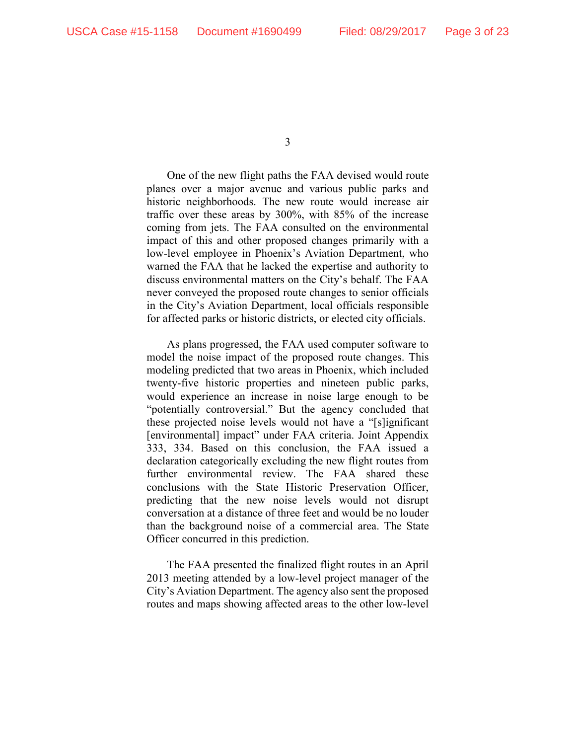One of the new flight paths the FAA devised would route planes over a major avenue and various public parks and historic neighborhoods. The new route would increase air traffic over these areas by 300%, with 85% of the increase coming from jets. The FAA consulted on the environmental impact of this and other proposed changes primarily with a low-level employee in Phoenix's Aviation Department, who warned the FAA that he lacked the expertise and authority to discuss environmental matters on the City's behalf. The FAA never conveyed the proposed route changes to senior officials in the City's Aviation Department, local officials responsible for affected parks or historic districts, or elected city officials.

As plans progressed, the FAA used computer software to model the noise impact of the proposed route changes. This modeling predicted that two areas in Phoenix, which included twenty-five historic properties and nineteen public parks, would experience an increase in noise large enough to be "potentially controversial." But the agency concluded that these projected noise levels would not have a "[s]ignificant [environmental] impact" under FAA criteria. Joint Appendix 333, 334. Based on this conclusion, the FAA issued a declaration categorically excluding the new flight routes from further environmental review. The FAA shared these conclusions with the State Historic Preservation Officer, predicting that the new noise levels would not disrupt conversation at a distance of three feet and would be no louder than the background noise of a commercial area. The State Officer concurred in this prediction.

The FAA presented the finalized flight routes in an April 2013 meeting attended by a low-level project manager of the City's Aviation Department. The agency also sent the proposed routes and maps showing affected areas to the other low-level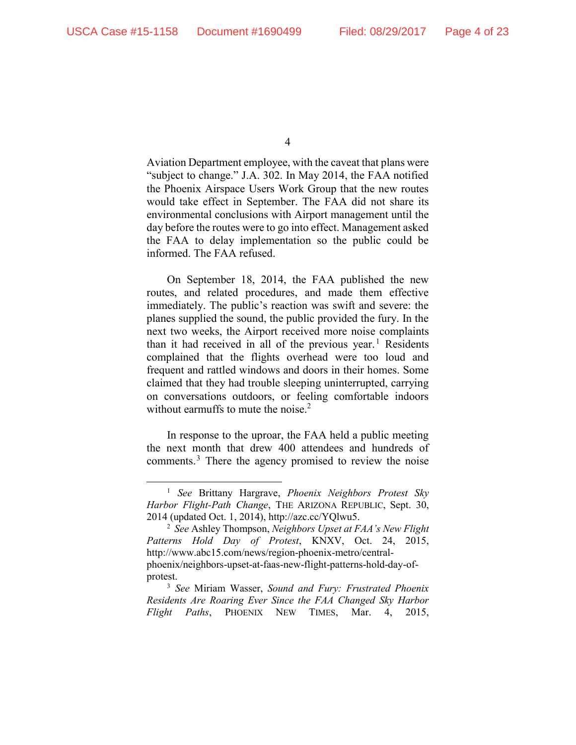Aviation Department employee, with the caveat that plans were "subject to change." J.A. 302. In May 2014, the FAA notified the Phoenix Airspace Users Work Group that the new routes would take effect in September. The FAA did not share its environmental conclusions with Airport management until the day before the routes were to go into effect. Management asked the FAA to delay implementation so the public could be informed. The FAA refused.

On September 18, 2014, the FAA published the new routes, and related procedures, and made them effective immediately. The public's reaction was swift and severe: the planes supplied the sound, the public provided the fury. In the next two weeks, the Airport received more noise complaints than it had received in all of the previous year.<sup>1</sup> Residents complained that the flights overhead were too loud and frequent and rattled windows and doors in their homes. Some claimed that they had trouble sleeping uninterrupted, carrying on conversations outdoors, or feeling comfortable indoors without earmuffs to mute the noise. $2$ 

In response to the uproar, the FAA held a public meeting the next month that drew 400 attendees and hundreds of comments.<sup>3</sup> There the agency promised to review the noise

 <sup>1</sup> *See* Brittany Hargrave, *Phoenix Neighbors Protest Sky Harbor Flight-Path Change*, THE ARIZONA REPUBLIC, Sept. 30, 2014 (updated Oct. 1, 2014), http://azc.cc/YQlwu5.

<sup>2</sup> *See* Ashley Thompson, *Neighbors Upset at FAA's New Flight Patterns Hold Day of Protest*, KNXV, Oct. 24, 2015, http://www.abc15.com/news/region-phoenix-metro/centralphoenix/neighbors-upset-at-faas-new-flight-patterns-hold-day-ofprotest.

<sup>3</sup> *See* Miriam Wasser, *Sound and Fury: Frustrated Phoenix Residents Are Roaring Ever Since the FAA Changed Sky Harbor Flight Paths*, PHOENIX NEW TIMES, Mar. 4, 2015,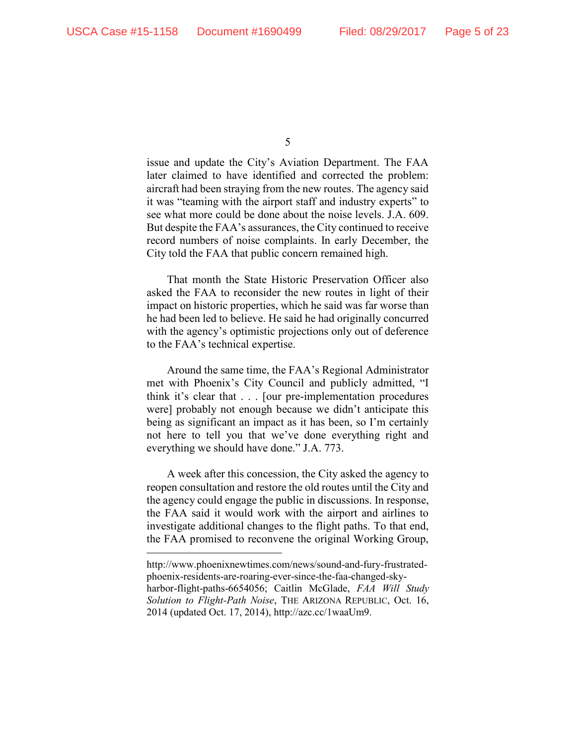$\overline{a}$ 

5

issue and update the City's Aviation Department. The FAA later claimed to have identified and corrected the problem: aircraft had been straying from the new routes. The agency said it was "teaming with the airport staff and industry experts" to see what more could be done about the noise levels. J.A. 609. But despite the FAA's assurances, the City continued to receive record numbers of noise complaints. In early December, the City told the FAA that public concern remained high.

That month the State Historic Preservation Officer also asked the FAA to reconsider the new routes in light of their impact on historic properties, which he said was far worse than he had been led to believe. He said he had originally concurred with the agency's optimistic projections only out of deference to the FAA's technical expertise.

Around the same time, the FAA's Regional Administrator met with Phoenix's City Council and publicly admitted, "I think it's clear that . . . [our pre-implementation procedures were] probably not enough because we didn't anticipate this being as significant an impact as it has been, so I'm certainly not here to tell you that we've done everything right and everything we should have done." J.A. 773.

A week after this concession, the City asked the agency to reopen consultation and restore the old routes until the City and the agency could engage the public in discussions. In response, the FAA said it would work with the airport and airlines to investigate additional changes to the flight paths. To that end, the FAA promised to reconvene the original Working Group,

http://www.phoenixnewtimes.com/news/sound-and-fury-frustratedphoenix-residents-are-roaring-ever-since-the-faa-changed-skyharbor-flight-paths-6654056; Caitlin McGlade, *FAA Will Study Solution to Flight-Path Noise*, THE ARIZONA REPUBLIC, Oct. 16, 2014 (updated Oct. 17, 2014), http://azc.cc/1waaUm9.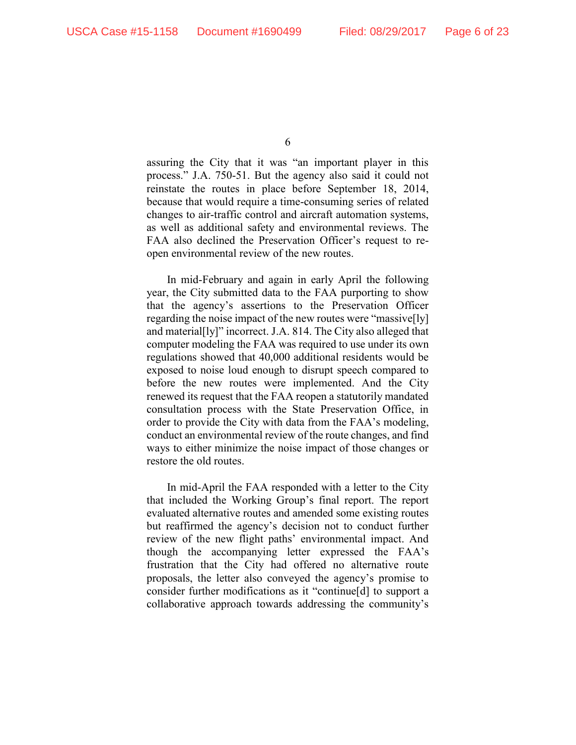assuring the City that it was "an important player in this process." J.A. 750-51. But the agency also said it could not reinstate the routes in place before September 18, 2014, because that would require a time-consuming series of related changes to air-traffic control and aircraft automation systems, as well as additional safety and environmental reviews. The FAA also declined the Preservation Officer's request to reopen environmental review of the new routes.

In mid-February and again in early April the following year, the City submitted data to the FAA purporting to show that the agency's assertions to the Preservation Officer regarding the noise impact of the new routes were "massive[ly] and material[ly]" incorrect. J.A. 814. The City also alleged that computer modeling the FAA was required to use under its own regulations showed that 40,000 additional residents would be exposed to noise loud enough to disrupt speech compared to before the new routes were implemented. And the City renewed its request that the FAA reopen a statutorily mandated consultation process with the State Preservation Office, in order to provide the City with data from the FAA's modeling, conduct an environmental review of the route changes, and find ways to either minimize the noise impact of those changes or restore the old routes.

In mid-April the FAA responded with a letter to the City that included the Working Group's final report. The report evaluated alternative routes and amended some existing routes but reaffirmed the agency's decision not to conduct further review of the new flight paths' environmental impact. And though the accompanying letter expressed the FAA's frustration that the City had offered no alternative route proposals, the letter also conveyed the agency's promise to consider further modifications as it "continue[d] to support a collaborative approach towards addressing the community's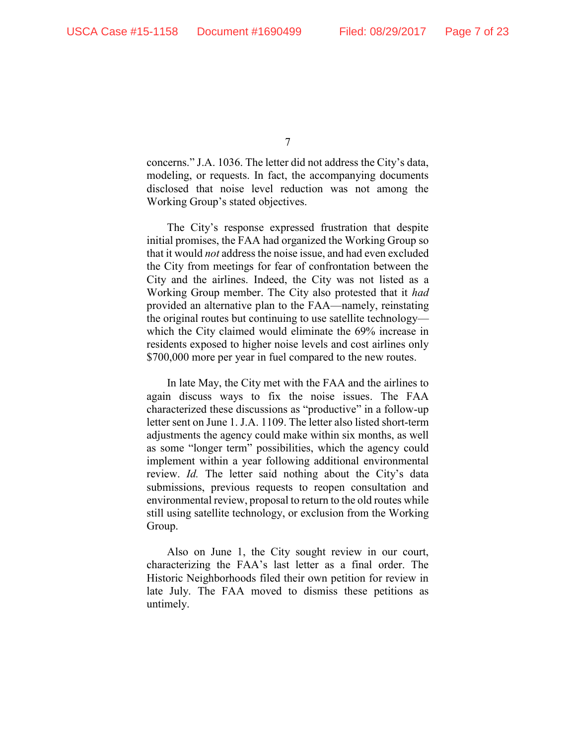concerns." J.A. 1036. The letter did not address the City's data, modeling, or requests. In fact, the accompanying documents disclosed that noise level reduction was not among the Working Group's stated objectives.

The City's response expressed frustration that despite initial promises, the FAA had organized the Working Group so that it would *not* address the noise issue, and had even excluded the City from meetings for fear of confrontation between the City and the airlines. Indeed, the City was not listed as a Working Group member. The City also protested that it *had* provided an alternative plan to the FAA—namely, reinstating the original routes but continuing to use satellite technology which the City claimed would eliminate the 69% increase in residents exposed to higher noise levels and cost airlines only \$700,000 more per year in fuel compared to the new routes.

In late May, the City met with the FAA and the airlines to again discuss ways to fix the noise issues. The FAA characterized these discussions as "productive" in a follow-up letter sent on June 1. J.A. 1109. The letter also listed short-term adjustments the agency could make within six months, as well as some "longer term" possibilities, which the agency could implement within a year following additional environmental review. *Id.* The letter said nothing about the City's data submissions, previous requests to reopen consultation and environmental review, proposal to return to the old routes while still using satellite technology, or exclusion from the Working Group.

Also on June 1, the City sought review in our court, characterizing the FAA's last letter as a final order. The Historic Neighborhoods filed their own petition for review in late July. The FAA moved to dismiss these petitions as untimely.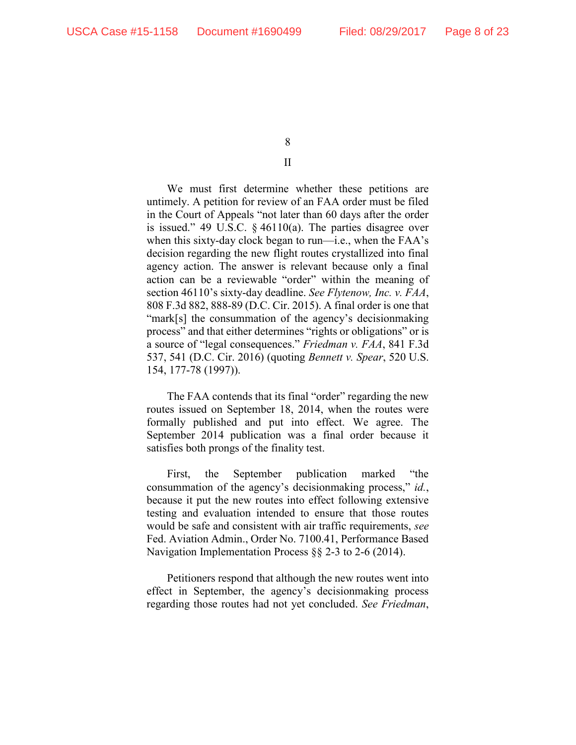# II

We must first determine whether these petitions are untimely. A petition for review of an FAA order must be filed in the Court of Appeals "not later than 60 days after the order is issued." 49 U.S.C. § 46110(a). The parties disagree over when this sixty-day clock began to run—i.e., when the FAA's decision regarding the new flight routes crystallized into final agency action. The answer is relevant because only a final action can be a reviewable "order" within the meaning of section 46110's sixty-day deadline. *See Flytenow, Inc. v. FAA*, 808 F.3d 882, 888-89 (D.C. Cir. 2015). A final order is one that "mark[s] the consummation of the agency's decisionmaking process" and that either determines "rights or obligations" or is a source of "legal consequences." *Friedman v. FAA*, 841 F.3d 537, 541 (D.C. Cir. 2016) (quoting *Bennett v. Spear*, 520 U.S. 154, 177-78 (1997)).

The FAA contends that its final "order" regarding the new routes issued on September 18, 2014, when the routes were formally published and put into effect. We agree. The September 2014 publication was a final order because it satisfies both prongs of the finality test.

First, the September publication marked "the consummation of the agency's decisionmaking process," *id.*, because it put the new routes into effect following extensive testing and evaluation intended to ensure that those routes would be safe and consistent with air traffic requirements, *see* Fed. Aviation Admin., Order No. 7100.41, Performance Based Navigation Implementation Process §§ 2-3 to 2-6 (2014).

Petitioners respond that although the new routes went into effect in September, the agency's decisionmaking process regarding those routes had not yet concluded. *See Friedman*,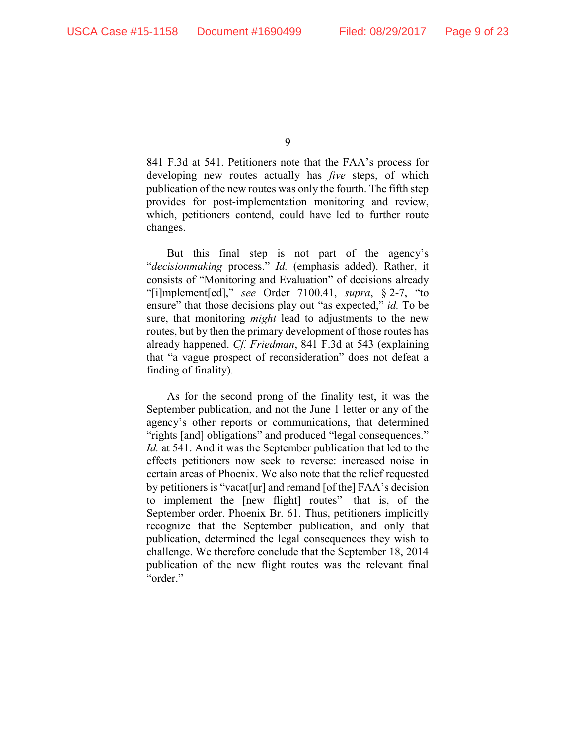841 F.3d at 541. Petitioners note that the FAA's process for developing new routes actually has *five* steps, of which publication of the new routes was only the fourth. The fifth step provides for post-implementation monitoring and review, which, petitioners contend, could have led to further route changes.

But this final step is not part of the agency's "*decisionmaking* process." *Id.* (emphasis added). Rather, it consists of "Monitoring and Evaluation" of decisions already "[i]mplement[ed]," *see* Order 7100.41, *supra*, § 2-7, "to ensure" that those decisions play out "as expected," *id.* To be sure, that monitoring *might* lead to adjustments to the new routes, but by then the primary development of those routes has already happened. *Cf. Friedman*, 841 F.3d at 543 (explaining that "a vague prospect of reconsideration" does not defeat a finding of finality).

As for the second prong of the finality test, it was the September publication, and not the June 1 letter or any of the agency's other reports or communications, that determined "rights [and] obligations" and produced "legal consequences." *Id.* at 541. And it was the September publication that led to the effects petitioners now seek to reverse: increased noise in certain areas of Phoenix. We also note that the relief requested by petitioners is "vacat[ur] and remand [of the] FAA's decision to implement the [new flight] routes"—that is, of the September order. Phoenix Br. 61. Thus, petitioners implicitly recognize that the September publication, and only that publication, determined the legal consequences they wish to challenge. We therefore conclude that the September 18, 2014 publication of the new flight routes was the relevant final "order."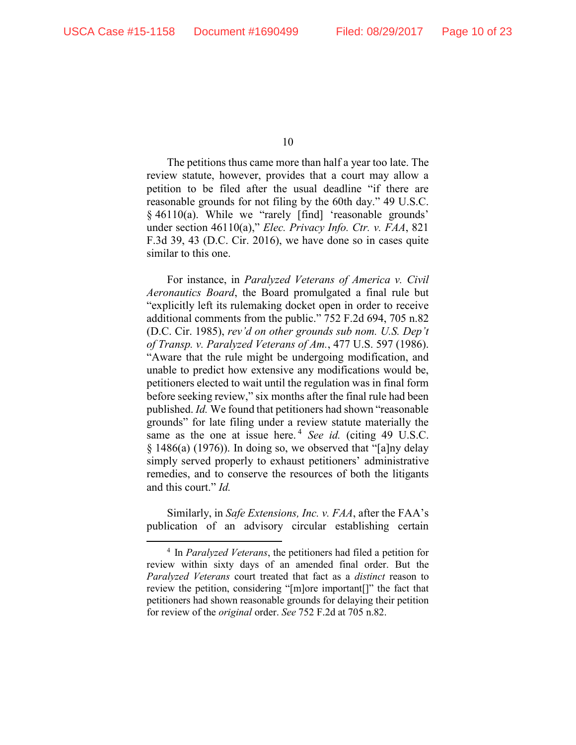The petitions thus came more than half a year too late. The review statute, however, provides that a court may allow a petition to be filed after the usual deadline "if there are reasonable grounds for not filing by the 60th day." 49 U.S.C. § 46110(a). While we "rarely [find] 'reasonable grounds' under section 46110(a)," *Elec. Privacy Info. Ctr. v. FAA*, 821 F.3d 39, 43 (D.C. Cir. 2016), we have done so in cases quite similar to this one.

For instance, in *Paralyzed Veterans of America v. Civil Aeronautics Board*, the Board promulgated a final rule but "explicitly left its rulemaking docket open in order to receive additional comments from the public." 752 F.2d 694, 705 n.82 (D.C. Cir. 1985), *rev'd on other grounds sub nom. U.S. Dep't of Transp. v. Paralyzed Veterans of Am.*, 477 U.S. 597 (1986). "Aware that the rule might be undergoing modification, and unable to predict how extensive any modifications would be, petitioners elected to wait until the regulation was in final form before seeking review," six months after the final rule had been published. *Id.* We found that petitioners had shown "reasonable grounds" for late filing under a review statute materially the same as the one at issue here.<sup>4</sup> *See id.* (citing 49 U.S.C.  $§$  1486(a) (1976)). In doing so, we observed that "[a]ny delay simply served properly to exhaust petitioners' administrative remedies, and to conserve the resources of both the litigants and this court." *Id.*

Similarly, in *Safe Extensions, Inc. v. FAA*, after the FAA's publication of an advisory circular establishing certain

 <sup>4</sup> In *Paralyzed Veterans*, the petitioners had filed a petition for review within sixty days of an amended final order. But the *Paralyzed Veterans* court treated that fact as a *distinct* reason to review the petition, considering "[m]ore important[]" the fact that petitioners had shown reasonable grounds for delaying their petition for review of the *original* order. *See* 752 F.2d at 705 n.82.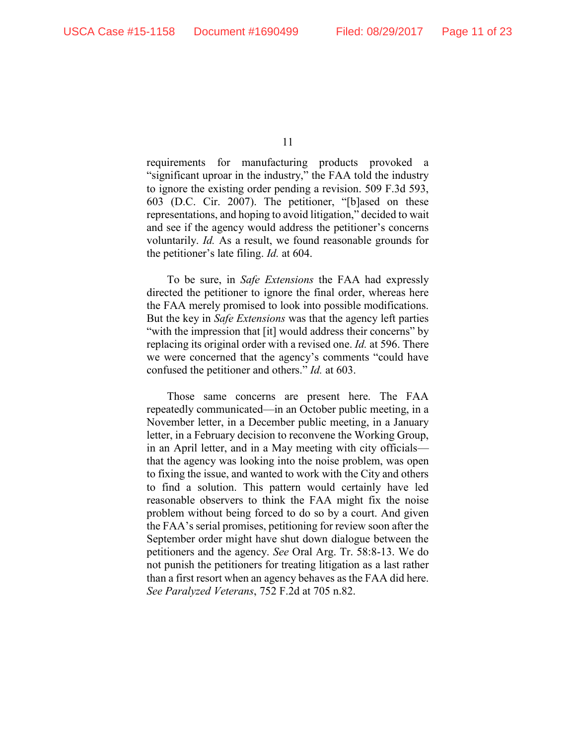requirements for manufacturing products provoked a "significant uproar in the industry," the FAA told the industry to ignore the existing order pending a revision. 509 F.3d 593, 603 (D.C. Cir. 2007). The petitioner, "[b]ased on these representations, and hoping to avoid litigation," decided to wait and see if the agency would address the petitioner's concerns voluntarily. *Id.* As a result, we found reasonable grounds for the petitioner's late filing. *Id.* at 604.

To be sure, in *Safe Extensions* the FAA had expressly directed the petitioner to ignore the final order, whereas here the FAA merely promised to look into possible modifications. But the key in *Safe Extensions* was that the agency left parties "with the impression that [it] would address their concerns" by replacing its original order with a revised one. *Id.* at 596. There we were concerned that the agency's comments "could have confused the petitioner and others." *Id.* at 603.

Those same concerns are present here. The FAA repeatedly communicated—in an October public meeting, in a November letter, in a December public meeting, in a January letter, in a February decision to reconvene the Working Group, in an April letter, and in a May meeting with city officials that the agency was looking into the noise problem, was open to fixing the issue, and wanted to work with the City and others to find a solution. This pattern would certainly have led reasonable observers to think the FAA might fix the noise problem without being forced to do so by a court. And given the FAA's serial promises, petitioning for review soon after the September order might have shut down dialogue between the petitioners and the agency. *See* Oral Arg. Tr. 58:8-13. We do not punish the petitioners for treating litigation as a last rather than a first resort when an agency behaves as the FAA did here. *See Paralyzed Veterans*, 752 F.2d at 705 n.82.

<sup>11</sup>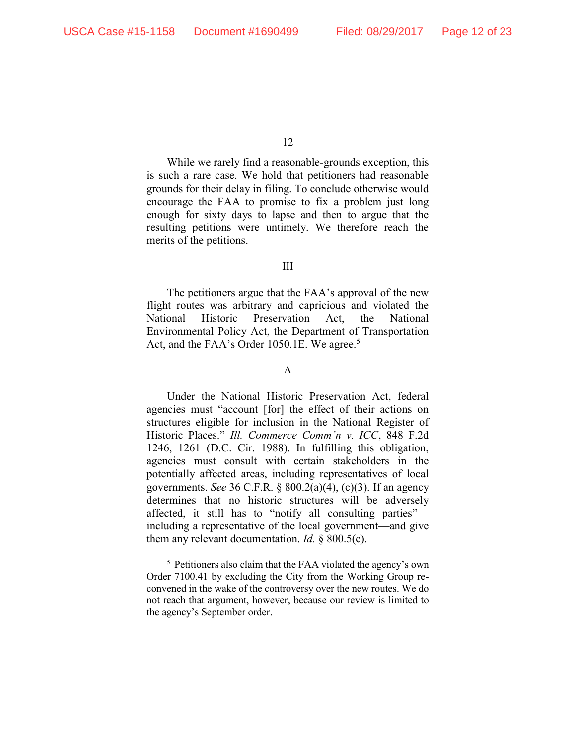While we rarely find a reasonable-grounds exception, this is such a rare case. We hold that petitioners had reasonable grounds for their delay in filing. To conclude otherwise would encourage the FAA to promise to fix a problem just long enough for sixty days to lapse and then to argue that the resulting petitions were untimely. We therefore reach the merits of the petitions.

#### III

The petitioners argue that the FAA's approval of the new flight routes was arbitrary and capricious and violated the National Historic Preservation Act, the National Environmental Policy Act, the Department of Transportation Act, and the FAA's Order 1050.1E. We agree.<sup>5</sup>

### A

Under the National Historic Preservation Act, federal agencies must "account [for] the effect of their actions on structures eligible for inclusion in the National Register of Historic Places." *Ill. Commerce Comm'n v. ICC*, 848 F.2d 1246, 1261 (D.C. Cir. 1988). In fulfilling this obligation, agencies must consult with certain stakeholders in the potentially affected areas, including representatives of local governments. *See* 36 C.F.R. § 800.2(a)(4), (c)(3). If an agency determines that no historic structures will be adversely affected, it still has to "notify all consulting parties" including a representative of the local government—and give them any relevant documentation. *Id.* § 800.5(c).

 <sup>5</sup> Petitioners also claim that the FAA violated the agency's own Order 7100.41 by excluding the City from the Working Group reconvened in the wake of the controversy over the new routes. We do not reach that argument, however, because our review is limited to the agency's September order.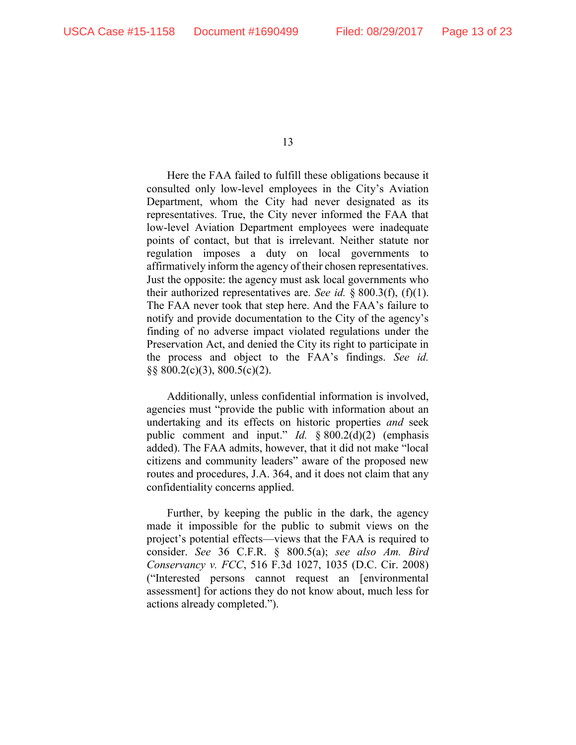Here the FAA failed to fulfill these obligations because it consulted only low-level employees in the City's Aviation Department, whom the City had never designated as its representatives. True, the City never informed the FAA that low-level Aviation Department employees were inadequate points of contact, but that is irrelevant. Neither statute nor regulation imposes a duty on local governments to affirmatively inform the agency of their chosen representatives. Just the opposite: the agency must ask local governments who their authorized representatives are. *See id.*  $\S 800.3(f)$ , (f)(1). The FAA never took that step here. And the FAA's failure to notify and provide documentation to the City of the agency's finding of no adverse impact violated regulations under the Preservation Act, and denied the City its right to participate in the process and object to the FAA's findings. *See id.* §§ 800.2(c)(3), 800.5(c)(2).

Additionally, unless confidential information is involved, agencies must "provide the public with information about an undertaking and its effects on historic properties *and* seek public comment and input." *Id.* § 800.2(d)(2) (emphasis added). The FAA admits, however, that it did not make "local citizens and community leaders" aware of the proposed new routes and procedures, J.A. 364, and it does not claim that any confidentiality concerns applied.

Further, by keeping the public in the dark, the agency made it impossible for the public to submit views on the project's potential effects—views that the FAA is required to consider. *See* 36 C.F.R. § 800.5(a); *see also Am. Bird Conservancy v. FCC*, 516 F.3d 1027, 1035 (D.C. Cir. 2008) ("Interested persons cannot request an [environmental assessment] for actions they do not know about, much less for actions already completed.").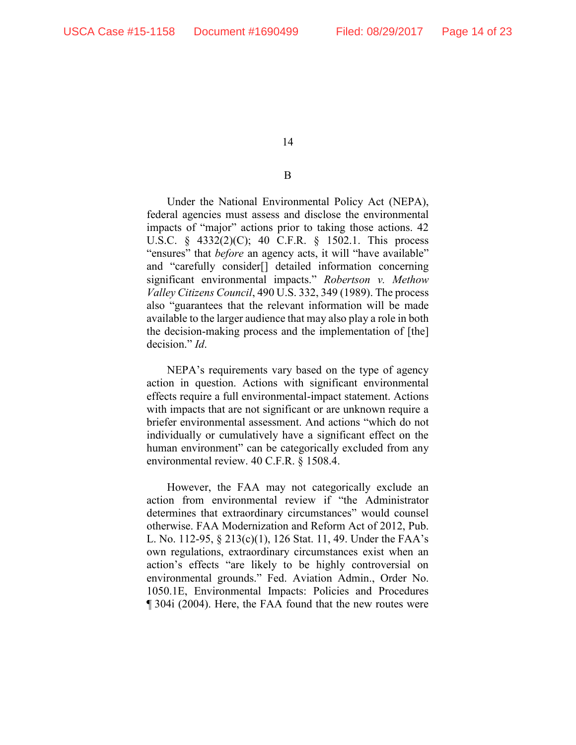## B

Under the National Environmental Policy Act (NEPA), federal agencies must assess and disclose the environmental impacts of "major" actions prior to taking those actions. 42 U.S.C. § 4332(2)(C); 40 C.F.R. § 1502.1. This process "ensures" that *before* an agency acts, it will "have available" and "carefully consider[] detailed information concerning significant environmental impacts." *Robertson v. Methow Valley Citizens Council*, 490 U.S. 332, 349 (1989). The process also "guarantees that the relevant information will be made available to the larger audience that may also play a role in both the decision-making process and the implementation of [the] decision." *Id*.

NEPA's requirements vary based on the type of agency action in question. Actions with significant environmental effects require a full environmental-impact statement. Actions with impacts that are not significant or are unknown require a briefer environmental assessment. And actions "which do not individually or cumulatively have a significant effect on the human environment" can be categorically excluded from any environmental review. 40 C.F.R. § 1508.4.

However, the FAA may not categorically exclude an action from environmental review if "the Administrator determines that extraordinary circumstances" would counsel otherwise. FAA Modernization and Reform Act of 2012, Pub. L. No. 112-95, § 213(c)(1), 126 Stat. 11, 49. Under the FAA's own regulations, extraordinary circumstances exist when an action's effects "are likely to be highly controversial on environmental grounds." Fed. Aviation Admin., Order No. 1050.1E, Environmental Impacts: Policies and Procedures ¶ 304i (2004). Here, the FAA found that the new routes were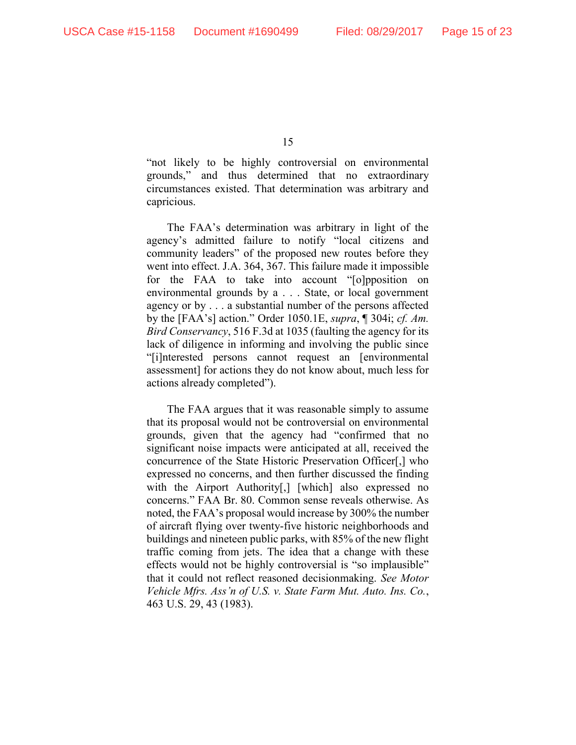"not likely to be highly controversial on environmental grounds," and thus determined that no extraordinary circumstances existed. That determination was arbitrary and capricious.

The FAA's determination was arbitrary in light of the agency's admitted failure to notify "local citizens and community leaders" of the proposed new routes before they went into effect. J.A. 364, 367. This failure made it impossible for the FAA to take into account "[o]pposition on environmental grounds by a . . . State, or local government agency or by . . . a substantial number of the persons affected by the [FAA's] action." Order 1050.1E, *supra*, ¶ 304i; *cf. Am. Bird Conservancy*, 516 F.3d at 1035 (faulting the agency for its lack of diligence in informing and involving the public since "[i]nterested persons cannot request an [environmental assessment] for actions they do not know about, much less for actions already completed").

The FAA argues that it was reasonable simply to assume that its proposal would not be controversial on environmental grounds, given that the agency had "confirmed that no significant noise impacts were anticipated at all, received the concurrence of the State Historic Preservation Officer[,] who expressed no concerns, and then further discussed the finding with the Airport Authority<sup>[1]</sup>, [which] also expressed no concerns." FAA Br. 80. Common sense reveals otherwise. As noted, the FAA's proposal would increase by 300% the number of aircraft flying over twenty-five historic neighborhoods and buildings and nineteen public parks, with 85% of the new flight traffic coming from jets. The idea that a change with these effects would not be highly controversial is "so implausible" that it could not reflect reasoned decisionmaking. *See Motor Vehicle Mfrs. Ass'n of U.S. v. State Farm Mut. Auto. Ins. Co.*, 463 U.S. 29, 43 (1983).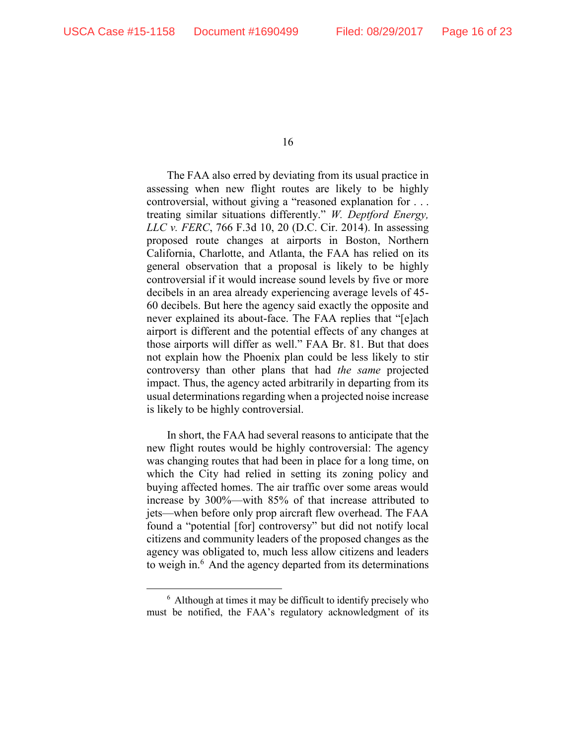The FAA also erred by deviating from its usual practice in assessing when new flight routes are likely to be highly controversial, without giving a "reasoned explanation for . . . treating similar situations differently." *W. Deptford Energy, LLC v. FERC*, 766 F.3d 10, 20 (D.C. Cir. 2014). In assessing proposed route changes at airports in Boston, Northern California, Charlotte, and Atlanta, the FAA has relied on its general observation that a proposal is likely to be highly controversial if it would increase sound levels by five or more decibels in an area already experiencing average levels of 45- 60 decibels. But here the agency said exactly the opposite and never explained its about-face. The FAA replies that "[e]ach airport is different and the potential effects of any changes at those airports will differ as well." FAA Br. 81. But that does not explain how the Phoenix plan could be less likely to stir controversy than other plans that had *the same* projected impact. Thus, the agency acted arbitrarily in departing from its usual determinations regarding when a projected noise increase is likely to be highly controversial.

In short, the FAA had several reasons to anticipate that the new flight routes would be highly controversial: The agency was changing routes that had been in place for a long time, on which the City had relied in setting its zoning policy and buying affected homes. The air traffic over some areas would increase by 300%—with 85% of that increase attributed to jets—when before only prop aircraft flew overhead. The FAA found a "potential [for] controversy" but did not notify local citizens and community leaders of the proposed changes as the agency was obligated to, much less allow citizens and leaders to weigh in.<sup>6</sup> And the agency departed from its determinations

 <sup>6</sup> Although at times it may be difficult to identify precisely who must be notified, the FAA's regulatory acknowledgment of its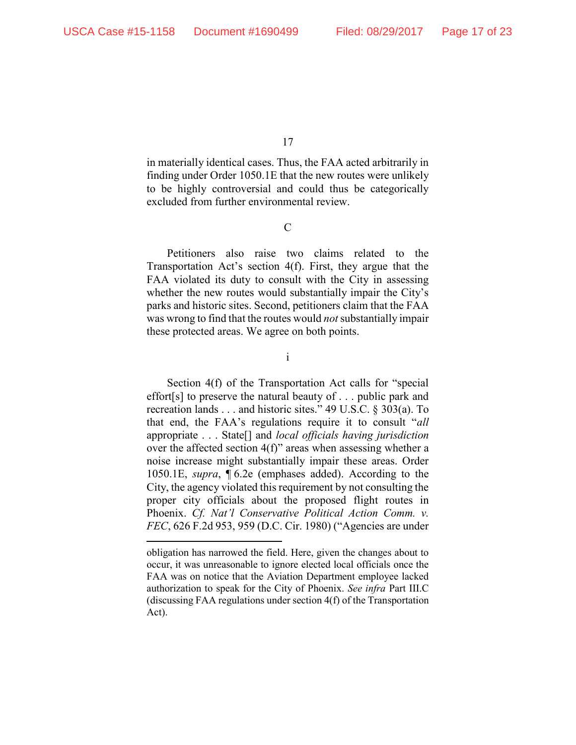$\overline{a}$ 

17

in materially identical cases. Thus, the FAA acted arbitrarily in finding under Order 1050.1E that the new routes were unlikely to be highly controversial and could thus be categorically excluded from further environmental review.

C

Petitioners also raise two claims related to the Transportation Act's section 4(f). First, they argue that the FAA violated its duty to consult with the City in assessing whether the new routes would substantially impair the City's parks and historic sites. Second, petitioners claim that the FAA was wrong to find that the routes would *not* substantially impair these protected areas. We agree on both points.

i

Section 4(f) of the Transportation Act calls for "special effort[s] to preserve the natural beauty of . . . public park and recreation lands . . . and historic sites." 49 U.S.C. § 303(a). To that end, the FAA's regulations require it to consult "*all* appropriate . . . State[] and *local officials having jurisdiction* over the affected section 4(f)" areas when assessing whether a noise increase might substantially impair these areas. Order 1050.1E, *supra*, ¶ 6.2e (emphases added). According to the City, the agency violated this requirement by not consulting the proper city officials about the proposed flight routes in Phoenix. *Cf. Nat'l Conservative Political Action Comm. v. FEC*, 626 F.2d 953, 959 (D.C. Cir. 1980) ("Agencies are under

obligation has narrowed the field. Here, given the changes about to occur, it was unreasonable to ignore elected local officials once the FAA was on notice that the Aviation Department employee lacked authorization to speak for the City of Phoenix. *See infra* Part III.C (discussing FAA regulations under section 4(f) of the Transportation Act).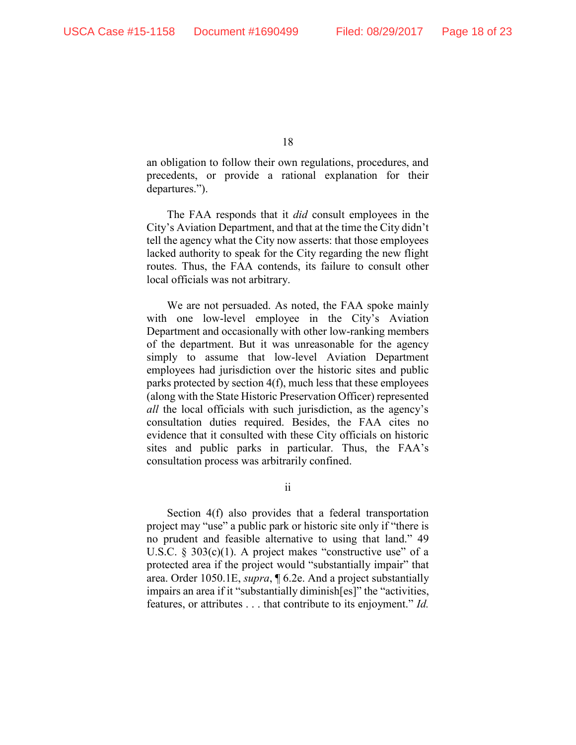an obligation to follow their own regulations, procedures, and precedents, or provide a rational explanation for their departures.").

The FAA responds that it *did* consult employees in the City's Aviation Department, and that at the time the City didn't tell the agency what the City now asserts: that those employees lacked authority to speak for the City regarding the new flight routes. Thus, the FAA contends, its failure to consult other local officials was not arbitrary.

We are not persuaded. As noted, the FAA spoke mainly with one low-level employee in the City's Aviation Department and occasionally with other low-ranking members of the department. But it was unreasonable for the agency simply to assume that low-level Aviation Department employees had jurisdiction over the historic sites and public parks protected by section 4(f), much less that these employees (along with the State Historic Preservation Officer) represented *all* the local officials with such jurisdiction, as the agency's consultation duties required. Besides, the FAA cites no evidence that it consulted with these City officials on historic sites and public parks in particular. Thus, the FAA's consultation process was arbitrarily confined.

ii

Section 4(f) also provides that a federal transportation project may "use" a public park or historic site only if "there is no prudent and feasible alternative to using that land." 49 U.S.C.  $\S$  303(c)(1). A project makes "constructive use" of a protected area if the project would "substantially impair" that area. Order 1050.1E, *supra*, ¶ 6.2e. And a project substantially impairs an area if it "substantially diminish[es]" the "activities, features, or attributes . . . that contribute to its enjoyment." *Id.*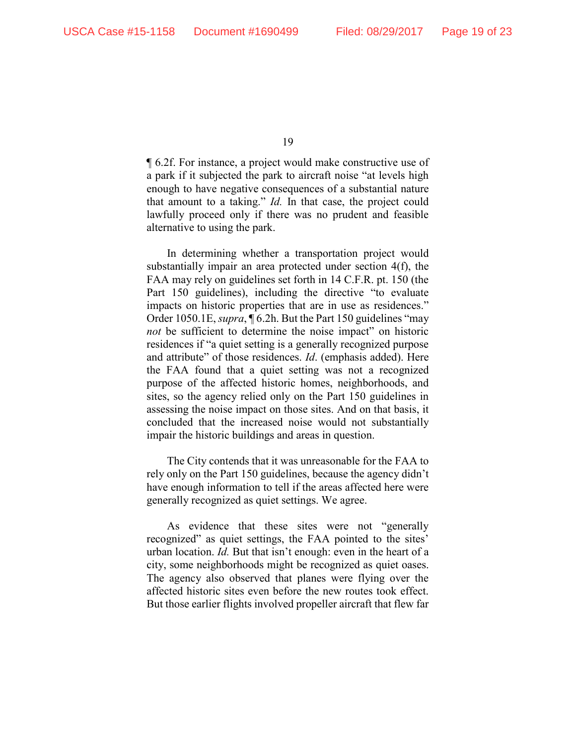¶ 6.2f. For instance, a project would make constructive use of a park if it subjected the park to aircraft noise "at levels high enough to have negative consequences of a substantial nature that amount to a taking." *Id.* In that case, the project could lawfully proceed only if there was no prudent and feasible alternative to using the park.

In determining whether a transportation project would substantially impair an area protected under section 4(f), the FAA may rely on guidelines set forth in 14 C.F.R. pt. 150 (the Part 150 guidelines), including the directive "to evaluate impacts on historic properties that are in use as residences." Order 1050.1E, *supra*, ¶ 6.2h. But the Part 150 guidelines "may *not* be sufficient to determine the noise impact" on historic residences if "a quiet setting is a generally recognized purpose and attribute" of those residences. *Id*. (emphasis added). Here the FAA found that a quiet setting was not a recognized purpose of the affected historic homes, neighborhoods, and sites, so the agency relied only on the Part 150 guidelines in assessing the noise impact on those sites. And on that basis, it concluded that the increased noise would not substantially impair the historic buildings and areas in question.

The City contends that it was unreasonable for the FAA to rely only on the Part 150 guidelines, because the agency didn't have enough information to tell if the areas affected here were generally recognized as quiet settings. We agree.

As evidence that these sites were not "generally recognized" as quiet settings, the FAA pointed to the sites' urban location. *Id.* But that isn't enough: even in the heart of a city, some neighborhoods might be recognized as quiet oases. The agency also observed that planes were flying over the affected historic sites even before the new routes took effect. But those earlier flights involved propeller aircraft that flew far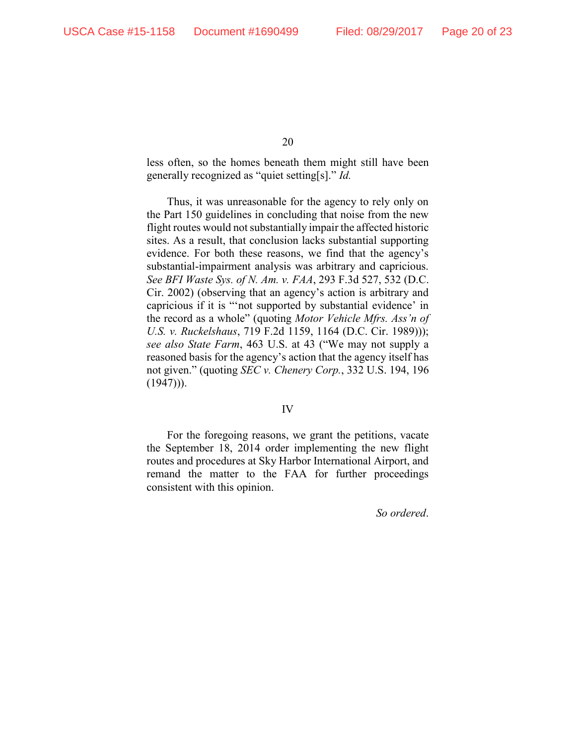less often, so the homes beneath them might still have been generally recognized as "quiet setting[s]." *Id.*

Thus, it was unreasonable for the agency to rely only on the Part 150 guidelines in concluding that noise from the new flight routes would not substantially impair the affected historic sites. As a result, that conclusion lacks substantial supporting evidence. For both these reasons, we find that the agency's substantial-impairment analysis was arbitrary and capricious. *See BFI Waste Sys. of N. Am. v. FAA*, 293 F.3d 527, 532 (D.C. Cir. 2002) (observing that an agency's action is arbitrary and capricious if it is "'not supported by substantial evidence' in the record as a whole" (quoting *Motor Vehicle Mfrs. Ass'n of U.S. v. Ruckelshaus*, 719 F.2d 1159, 1164 (D.C. Cir. 1989))); *see also State Farm*, 463 U.S. at 43 ("We may not supply a reasoned basis for the agency's action that the agency itself has not given." (quoting *SEC v. Chenery Corp.*, 332 U.S. 194, 196  $(1947))$ .

#### IV

For the foregoing reasons, we grant the petitions, vacate the September 18, 2014 order implementing the new flight routes and procedures at Sky Harbor International Airport, and remand the matter to the FAA for further proceedings consistent with this opinion.

*So ordered*.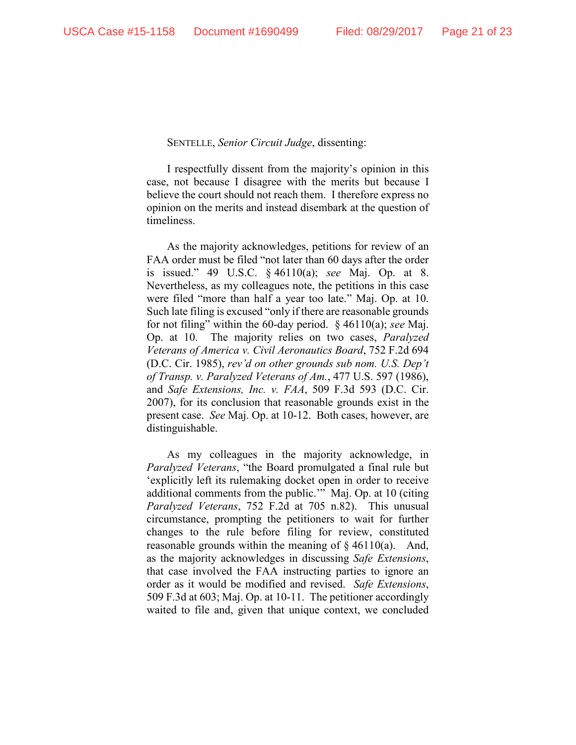### SENTELLE, *Senior Circuit Judge*, dissenting:

I respectfully dissent from the majority's opinion in this case, not because I disagree with the merits but because I believe the court should not reach them. I therefore express no opinion on the merits and instead disembark at the question of timeliness.

As the majority acknowledges, petitions for review of an FAA order must be filed "not later than 60 days after the order is issued." 49 U.S.C. § 46110(a); *see* Maj. Op. at 8. Nevertheless, as my colleagues note, the petitions in this case were filed "more than half a year too late." Maj. Op. at 10. Such late filing is excused "only if there are reasonable grounds for not filing" within the 60-day period. § 46110(a); *see* Maj. Op. at 10. The majority relies on two cases, *Paralyzed Veterans of America v. Civil Aeronautics Board*, 752 F.2d 694 (D.C. Cir. 1985), *rev'd on other grounds sub nom. U.S. Dep't of Transp. v. Paralyzed Veterans of Am.*, 477 U.S. 597 (1986), and *Safe Extensions, Inc. v. FAA*, 509 F.3d 593 (D.C. Cir. 2007), for its conclusion that reasonable grounds exist in the present case. *See* Maj. Op. at 10-12. Both cases, however, are distinguishable.

As my colleagues in the majority acknowledge, in *Paralyzed Veterans*, "the Board promulgated a final rule but 'explicitly left its rulemaking docket open in order to receive additional comments from the public.'" Maj. Op. at 10 (citing *Paralyzed Veterans*, 752 F.2d at 705 n.82). This unusual circumstance, prompting the petitioners to wait for further changes to the rule before filing for review, constituted reasonable grounds within the meaning of  $\S$  46110(a). And, as the majority acknowledges in discussing *Safe Extensions*, that case involved the FAA instructing parties to ignore an order as it would be modified and revised. *Safe Extensions*, 509 F.3d at 603; Maj. Op. at 10-11. The petitioner accordingly waited to file and, given that unique context, we concluded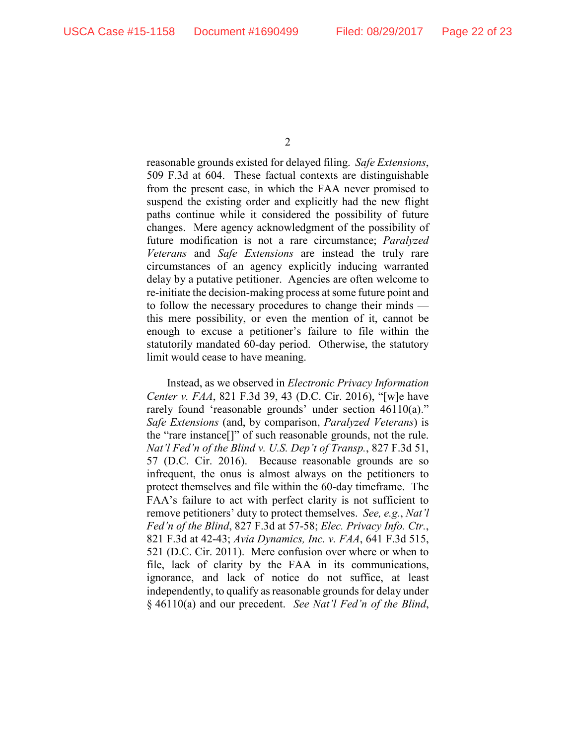reasonable grounds existed for delayed filing. *Safe Extensions*, 509 F.3d at 604. These factual contexts are distinguishable from the present case, in which the FAA never promised to suspend the existing order and explicitly had the new flight paths continue while it considered the possibility of future changes. Mere agency acknowledgment of the possibility of future modification is not a rare circumstance; *Paralyzed Veterans* and *Safe Extensions* are instead the truly rare circumstances of an agency explicitly inducing warranted delay by a putative petitioner. Agencies are often welcome to re-initiate the decision-making process at some future point and to follow the necessary procedures to change their minds this mere possibility, or even the mention of it, cannot be enough to excuse a petitioner's failure to file within the statutorily mandated 60-day period. Otherwise, the statutory limit would cease to have meaning.

Instead, as we observed in *Electronic Privacy Information Center v. FAA*, 821 F.3d 39, 43 (D.C. Cir. 2016), "[w]e have rarely found 'reasonable grounds' under section 46110(a)." *Safe Extensions* (and, by comparison, *Paralyzed Veterans*) is the "rare instance[]" of such reasonable grounds, not the rule. *Nat'l Fed'n of the Blind v. U.S. Dep't of Transp.*, 827 F.3d 51, 57 (D.C. Cir. 2016). Because reasonable grounds are so infrequent, the onus is almost always on the petitioners to protect themselves and file within the 60-day timeframe. The FAA's failure to act with perfect clarity is not sufficient to remove petitioners' duty to protect themselves. *See, e.g.*, *Nat'l Fed'n of the Blind*, 827 F.3d at 57-58; *Elec. Privacy Info. Ctr.*, 821 F.3d at 42-43; *Avia Dynamics, Inc. v. FAA*, 641 F.3d 515, 521 (D.C. Cir. 2011). Mere confusion over where or when to file, lack of clarity by the FAA in its communications, ignorance, and lack of notice do not suffice, at least independently, to qualify as reasonable grounds for delay under § 46110(a) and our precedent. *See Nat'l Fed'n of the Blind*,

<sup>2</sup>